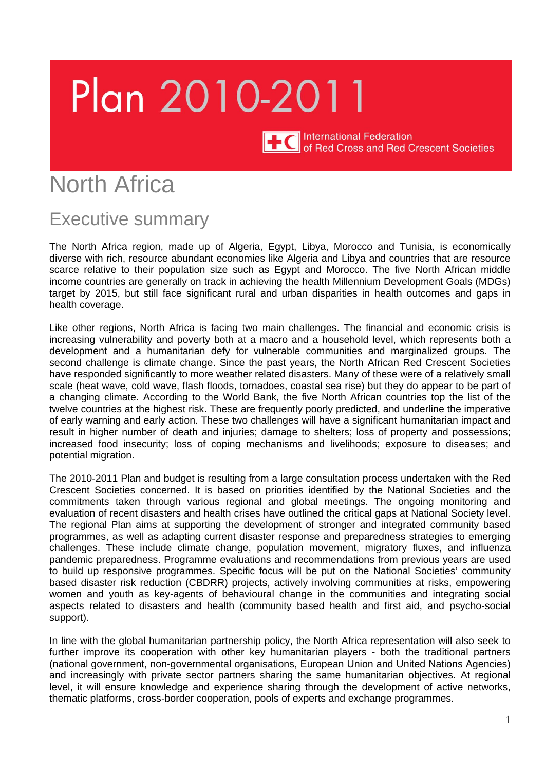# Plan 2010-2011

International Federation<br>of Red Cross and Red Crescent Societies

# North Africa

# Executive summary

The North Africa region, made up of Algeria, Egypt, Libya, Morocco and Tunisia, is economically diverse with rich, resource abundant economies like Algeria and Libya and countries that are resource scarce relative to their population size such as Egypt and Morocco. The five North African middle income countries are generally on track in achieving the health Millennium Development Goals (MDGs) target by 2015, but still face significant rural and urban disparities in health outcomes and gaps in health coverage.

Like other regions, North Africa is facing two main challenges. The financial and economic crisis is increasing vulnerability and poverty both at a macro and a household level, which represents both a development and a humanitarian defy for vulnerable communities and marginalized groups. The second challenge is climate change. Since the past years, the North African Red Crescent Societies have responded significantly to more weather related disasters. Many of these were of a relatively small scale (heat wave, cold wave, flash floods, tornadoes, coastal sea rise) but they do appear to be part of a changing climate. According to the World Bank, the five North African countries top the list of the twelve countries at the highest risk. These are frequently poorly predicted, and underline the imperative of early warning and early action. These two challenges will have a significant humanitarian impact and result in higher number of death and injuries; damage to shelters; loss of property and possessions; increased food insecurity; loss of coping mechanisms and livelihoods; exposure to diseases; and potential migration.

The 2010-2011 Plan and budget is resulting from a large consultation process undertaken with the Red Crescent Societies concerned. It is based on priorities identified by the National Societies and the commitments taken through various regional and global meetings. The ongoing monitoring and evaluation of recent disasters and health crises have outlined the critical gaps at National Society level. The regional Plan aims at supporting the development of stronger and integrated community based programmes, as well as adapting current disaster response and preparedness strategies to emerging challenges. These include climate change, population movement, migratory fluxes, and influenza pandemic preparedness. Programme evaluations and recommendations from previous years are used to build up responsive programmes. Specific focus will be put on the National Societies' community based disaster risk reduction (CBDRR) projects, actively involving communities at risks, empowering women and youth as key-agents of behavioural change in the communities and integrating social aspects related to disasters and health (community based health and first aid, and psycho-social support).

In line with the global humanitarian partnership policy, the North Africa representation will also seek to further improve its cooperation with other key humanitarian players - both the traditional partners (national government, non-governmental organisations, European Union and United Nations Agencies) and increasingly with private sector partners sharing the same humanitarian objectives. At regional level, it will ensure knowledge and experience sharing through the development of active networks, thematic platforms, cross-border cooperation, pools of experts and exchange programmes.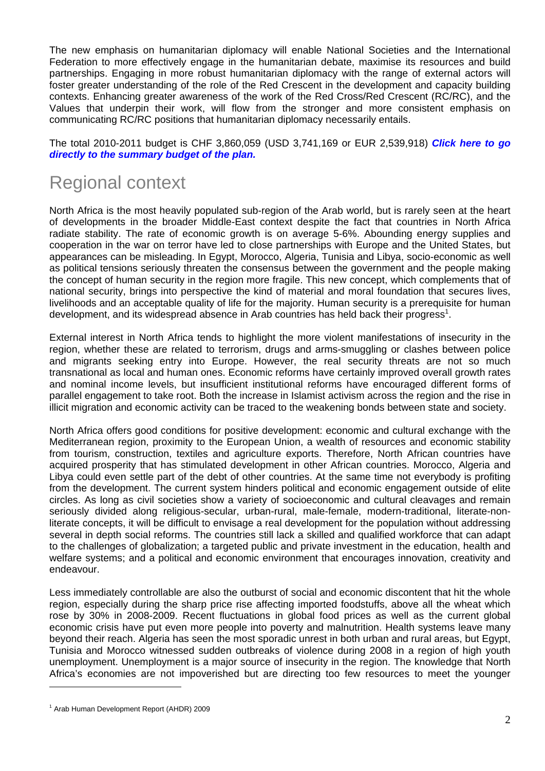The new emphasis on humanitarian diplomacy will enable National Societies and the International Federation to more effectively engage in the humanitarian debate, maximise its resources and build partnerships. Engaging in more robust humanitarian diplomacy with the range of external actors will foster greater understanding of the role of the Red Crescent in the development and capacity building contexts. Enhancing greater awareness of the work of the Red Cross/Red Crescent (RC/RC), and the Values that underpin their work, will flow from the stronger and more consistent emphasis on communicating RC/RC positions that humanitarian diplomacy necessarily entails.

The total 2010-2011 budget is CHF 3,860,059 (USD 3,741,169 or EUR 2,539,918) *[Click here to go](http://www.ifrc.org/docs/Appeals/annual10/MAA8200110pb.pdf) [directly to the summary budget of the plan.](http://www.ifrc.org/docs/Appeals/annual10/MAA8200110pb.pdf)* 

# Regional context

North Africa is the most heavily populated sub-region of the Arab world, but is rarely seen at the heart of developments in the broader Middle-East context despite the fact that countries in North Africa radiate stability. The rate of economic growth is on average 5-6%. Abounding energy supplies and cooperation in the war on terror have led to close partnerships with Europe and the United States, but appearances can be misleading. In Egypt, Morocco, Algeria, Tunisia and Libya, socio-economic as well as political tensions seriously threaten the consensus between the government and the people making the concept of human security in the region more fragile. This new concept, which complements that of national security, brings into perspective the kind of material and moral foundation that secures lives, livelihoods and an acceptable quality of life for the majority. Human security is a prerequisite for human development, and its widespread absence in Arab countries has held back their progress<sup>1</sup>.

External interest in North Africa tends to highlight the more violent manifestations of insecurity in the region, whether these are related to terrorism, drugs and arms-smuggling or clashes between police and migrants seeking entry into Europe. However, the real security threats are not so much transnational as local and human ones. Economic reforms have certainly improved overall growth rates and nominal income levels, but insufficient institutional reforms have encouraged different forms of parallel engagement to take root. Both the increase in Islamist activism across the region and the rise in illicit migration and economic activity can be traced to the weakening bonds between state and society.

North Africa offers good conditions for positive development: economic and cultural exchange with the Mediterranean region, proximity to the European Union, a wealth of resources and economic stability from tourism, construction, textiles and agriculture exports. Therefore, North African countries have acquired prosperity that has stimulated development in other African countries. Morocco, Algeria and Libya could even settle part of the debt of other countries. At the same time not everybody is profiting from the development. The current system hinders political and economic engagement outside of elite circles. As long as civil societies show a variety of socioeconomic and cultural cleavages and remain seriously divided along religious-secular, urban-rural, male-female, modern-traditional, literate-nonliterate concepts, it will be difficult to envisage a real development for the population without addressing several in depth social reforms. The countries still lack a skilled and qualified workforce that can adapt to the challenges of globalization; a targeted public and private investment in the education, health and welfare systems; and a political and economic environment that encourages innovation, creativity and endeavour.

Less immediately controllable are also the outburst of social and economic discontent that hit the whole region, especially during the sharp price rise affecting imported foodstuffs, above all the wheat which rose by 30% in 2008-2009. Recent fluctuations in global food prices as well as the current global economic crisis have put even more people into poverty and malnutrition. Health systems leave many beyond their reach. Algeria has seen the most sporadic unrest in both urban and rural areas, but Egypt, Tunisia and Morocco witnessed sudden outbreaks of violence during 2008 in a region of high youth unemployment. Unemployment is a major source of insecurity in the region. The knowledge that North Africa's economies are not impoverished but are directing too few resources to meet the younger

<u>.</u>

<sup>1</sup> Arab Human Development Report (AHDR) 2009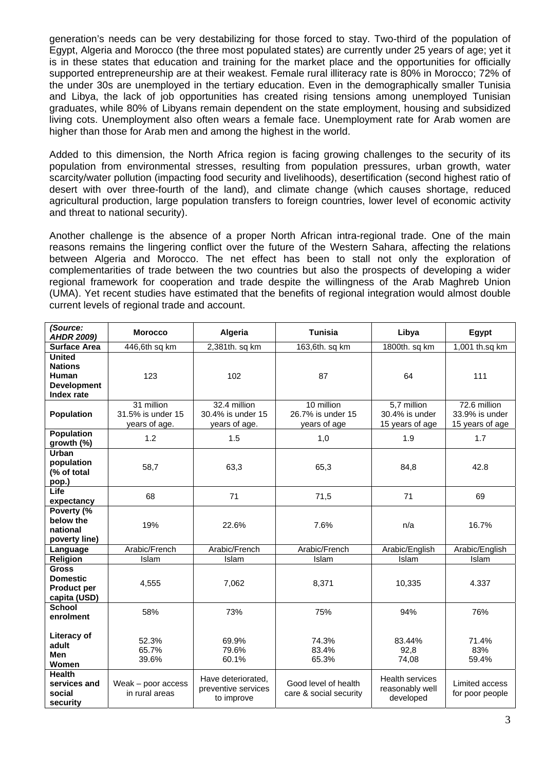generation's needs can be very destabilizing for those forced to stay. Two-third of the population of Egypt, Algeria and Morocco (the three most populated states) are currently under 25 years of age; yet it is in these states that education and training for the market place and the opportunities for officially supported entrepreneurship are at their weakest. Female rural illiteracy rate is 80% in Morocco; 72% of the under 30s are unemployed in the tertiary education. Even in the demographically smaller Tunisia and Libya, the lack of job opportunities has created rising tensions among unemployed Tunisian graduates, while 80% of Libyans remain dependent on the state employment, housing and subsidized living cots. Unemployment also often wears a female face. Unemployment rate for Arab women are higher than those for Arab men and among the highest in the world.

Added to this dimension, the North Africa region is facing growing challenges to the security of its population from environmental stresses, resulting from population pressures, urban growth, water scarcity/water pollution (impacting food security and livelihoods), desertification (second highest ratio of desert with over three-fourth of the land), and climate change (which causes shortage, reduced agricultural production, large population transfers to foreign countries, lower level of economic activity and threat to national security).

Another challenge is the absence of a proper North African intra-regional trade. One of the main reasons remains the lingering conflict over the future of the Western Sahara, affecting the relations between Algeria and Morocco. The net effect has been to stall not only the exploration of complementarities of trade between the two countries but also the prospects of developing a wider regional framework for cooperation and trade despite the willingness of the Arab Maghreb Union (UMA). Yet recent studies have estimated that the benefits of regional integration would almost double current levels of regional trade and account.

| (Source:<br><b>AHDR 2009)</b>                                                       | <b>Morocco</b>                                   | Algeria                                                 | <b>Tunisia</b>                                  | Libya                                                  | Egypt                                             |
|-------------------------------------------------------------------------------------|--------------------------------------------------|---------------------------------------------------------|-------------------------------------------------|--------------------------------------------------------|---------------------------------------------------|
| <b>Surface Area</b>                                                                 | 446,6th sq km                                    | 2,381th. sq km                                          | 163,6th. sq km                                  | 1800th. sq km                                          | 1,001 th.sq km                                    |
| <b>United</b><br><b>Nations</b><br>Human<br><b>Development</b><br><b>Index rate</b> | 123                                              | 102                                                     | 87                                              | 64                                                     | 111                                               |
| <b>Population</b>                                                                   | 31 million<br>31.5% is under 15<br>years of age. | 32.4 million<br>30.4% is under 15<br>years of age.      | 10 million<br>26.7% is under 15<br>years of age | 5,7 million<br>30.4% is under<br>15 years of age       | 72.6 million<br>33.9% is under<br>15 years of age |
| <b>Population</b><br>growth (%)                                                     | 1.2                                              | 1.5                                                     | 1,0                                             | 1.9                                                    | 1.7                                               |
| <b>Urban</b><br>population<br>(% of total<br>pop.)                                  | 58,7                                             | 63,3                                                    | 65,3                                            | 84,8                                                   | 42.8                                              |
| Life<br>expectancy                                                                  | 68                                               | 71                                                      | 71,5                                            | 71                                                     | 69                                                |
| Poverty (%<br>below the<br>national<br>poverty line)                                | 19%                                              | 22.6%                                                   | 7.6%                                            | n/a                                                    | 16.7%                                             |
| Language                                                                            | Arabic/French                                    | Arabic/French                                           | Arabic/French                                   | Arabic/English                                         | Arabic/English                                    |
| Religion                                                                            | Islam                                            | Islam                                                   | Islam                                           | Islam                                                  | Islam                                             |
| <b>Gross</b><br><b>Domestic</b><br><b>Product per</b><br>capita (USD)               | 4,555                                            | 7,062                                                   | 8,371                                           | 10,335                                                 | 4.337                                             |
| <b>School</b><br>enrolment                                                          | 58%                                              | 73%                                                     | 75%                                             | 94%                                                    | 76%                                               |
| Literacy of<br>adult<br><b>Men</b><br>Women                                         | 52.3%<br>65.7%<br>39.6%                          | 69.9%<br>79.6%<br>60.1%                                 | 74.3%<br>83.4%<br>65.3%                         | 83.44%<br>92,8<br>74,08                                | 71.4%<br>83%<br>59.4%                             |
| <b>Health</b><br>services and<br>social<br>security                                 | Weak $-$ poor access<br>in rural areas           | Have deteriorated.<br>preventive services<br>to improve | Good level of health<br>care & social security  | <b>Health services</b><br>reasonably well<br>developed | Limited access<br>for poor people                 |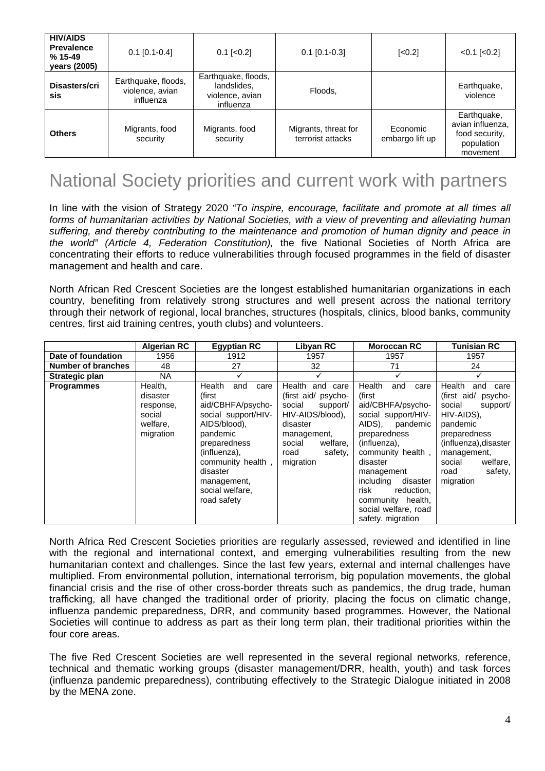| <b>HIV/AIDS</b><br><b>Prevalence</b><br>$%15-49$<br>years (2005) | $0.1$ [0.1-0.4]                                     | $0.1$ [< $0.2$ ]                                                   | $0.1$ [0.1-0.3]                           | $\left[ <0.2 \right]$       | $< 0.1$ [ $< 0.2$ ]                                                         |
|------------------------------------------------------------------|-----------------------------------------------------|--------------------------------------------------------------------|-------------------------------------------|-----------------------------|-----------------------------------------------------------------------------|
| Disasters/cri<br>sis                                             | Earthquake, floods,<br>violence, avian<br>influenza | Earthquake, floods,<br>landslides,<br>violence, avian<br>influenza | Floods,                                   |                             | Earthquake,<br>violence                                                     |
| <b>Others</b>                                                    | Migrants, food<br>security                          | Migrants, food<br>security                                         | Migrants, threat for<br>terrorist attacks | Economic<br>embargo lift up | Earthquake,<br>avian influenza,<br>food security,<br>population<br>movement |

# National Society priorities and current work with partners

In line with the vision of Strategy 2020 *"To inspire, encourage, facilitate and promote at all times all forms of humanitarian activities by National Societies, with a view of preventing and alleviating human suffering, and thereby contributing to the maintenance and promotion of human dignity and peace in the world" (Article 4, Federation Constitution),* the five National Societies of North Africa are concentrating their efforts to reduce vulnerabilities through focused programmes in the field of disaster management and health and care.

North African Red Crescent Societies are the longest established humanitarian organizations in each country, benefiting from relatively strong structures and well present across the national territory through their network of regional, local branches, structures (hospitals, clinics, blood banks, community centres, first aid training centres, youth clubs) and volunteers.

|                           | <b>Algerian RC</b>                                                  | <b>Egyptian RC</b>                                                                                                                                                                                                        | Libyan RC                                                                                                                                                            | <b>Moroccan RC</b>                                                                                                                                                                                                                                                                                | <b>Tunisian RC</b>                                                                                                                                                                                            |
|---------------------------|---------------------------------------------------------------------|---------------------------------------------------------------------------------------------------------------------------------------------------------------------------------------------------------------------------|----------------------------------------------------------------------------------------------------------------------------------------------------------------------|---------------------------------------------------------------------------------------------------------------------------------------------------------------------------------------------------------------------------------------------------------------------------------------------------|---------------------------------------------------------------------------------------------------------------------------------------------------------------------------------------------------------------|
| Date of foundation        | 1956                                                                | 1912                                                                                                                                                                                                                      | 1957                                                                                                                                                                 | 1957                                                                                                                                                                                                                                                                                              | 1957                                                                                                                                                                                                          |
| <b>Number of branches</b> | 48                                                                  | 27                                                                                                                                                                                                                        | 32                                                                                                                                                                   | 71                                                                                                                                                                                                                                                                                                | 24                                                                                                                                                                                                            |
| <b>Strategic plan</b>     | NA.                                                                 |                                                                                                                                                                                                                           |                                                                                                                                                                      |                                                                                                                                                                                                                                                                                                   |                                                                                                                                                                                                               |
| <b>Programmes</b>         | Health,<br>disaster<br>response,<br>social<br>welfare.<br>migration | Health<br>and<br>care<br>(first<br>aid/CBHFA/psycho-<br>social support/HIV-<br>AIDS/blood).<br>pandemic<br>preparedness<br>(influenza),<br>community health,<br>disaster<br>management,<br>social welfare,<br>road safety | Health<br>and care<br>(first aid/ psycho-<br>social<br>support/<br>HIV-AIDS/blood),<br>disaster<br>management,<br>social<br>welfare,<br>safety,<br>road<br>migration | Health<br>and<br>care<br>(first<br>aid/CBHFA/psycho-<br>social support/HIV-<br>AIDS).<br>pandemic<br>preparedness<br>(influenza),<br>community health,<br>disaster<br>management<br>including<br>disaster<br>risk<br>reduction,<br>community health,<br>social welfare, road<br>safety. migration | Health<br>care<br>and<br>(first aid/<br>psycho-<br>social<br>support/<br>HIV-AIDS),<br>pandemic<br>preparedness<br>(influenza), disaster<br>management,<br>welfare,<br>social<br>safety,<br>road<br>migration |

North Africa Red Crescent Societies priorities are regularly assessed, reviewed and identified in line with the regional and international context, and emerging vulnerabilities resulting from the new humanitarian context and challenges. Since the last few years, external and internal challenges have multiplied. From environmental pollution, international terrorism, big population movements, the global financial crisis and the rise of other cross-border threats such as pandemics, the drug trade, human trafficking, all have changed the traditional order of priority, placing the focus on climatic change, influenza pandemic preparedness, DRR, and community based programmes. However, the National Societies will continue to address as part as their long term plan, their traditional priorities within the four core areas.

The five Red Crescent Societies are well represented in the several regional networks, reference, technical and thematic working groups (disaster management/DRR, health, youth) and task forces (influenza pandemic preparedness), contributing effectively to the Strategic Dialogue initiated in 2008 by the MENA zone.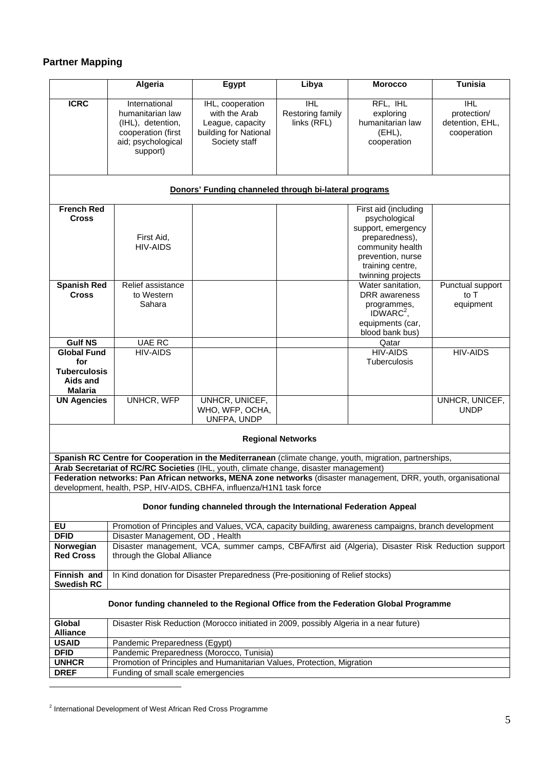## **Partner Mapping**

|                                                                                                                                                                                                         | Algeria                                                                                                                          | Egypt                                                                                                   | Libya                                         | <b>Morocco</b>                                                                                                                                                  | Tunisia                                                                  |
|---------------------------------------------------------------------------------------------------------------------------------------------------------------------------------------------------------|----------------------------------------------------------------------------------------------------------------------------------|---------------------------------------------------------------------------------------------------------|-----------------------------------------------|-----------------------------------------------------------------------------------------------------------------------------------------------------------------|--------------------------------------------------------------------------|
| <b>ICRC</b>                                                                                                                                                                                             | International<br>humanitarian law<br>(IHL), detention,<br>cooperation (first<br>aid; psychological<br>support)                   | IHL, cooperation<br>with the Arab<br>League, capacity<br>building for National<br>Society staff         | <b>IHL</b><br>Restoring family<br>links (RFL) | RFL, IHL<br>exploring<br>humanitarian law<br>(EHL),<br>cooperation                                                                                              | $\overline{\mathbb{H}}$<br>protection/<br>detention, EHL,<br>cooperation |
|                                                                                                                                                                                                         |                                                                                                                                  | Donors' Funding channeled through bi-lateral programs                                                   |                                               |                                                                                                                                                                 |                                                                          |
| <b>French Red</b><br><b>Cross</b>                                                                                                                                                                       | First Aid,<br><b>HIV-AIDS</b>                                                                                                    |                                                                                                         |                                               | First aid (including<br>psychological<br>support, emergency<br>preparedness),<br>community health<br>prevention, nurse<br>training centre,<br>twinning projects |                                                                          |
| <b>Spanish Red</b><br><b>Cross</b>                                                                                                                                                                      | Relief assistance<br>to Western<br>Sahara                                                                                        |                                                                                                         |                                               | Water sanitation,<br><b>DRR</b> awareness<br>programmes,<br>IDWARC <sup>2</sup> ,<br>equipments (car,<br>blood bank bus)                                        | Punctual support<br>to T<br>equipment                                    |
| <b>Gulf NS</b>                                                                                                                                                                                          | UAE RC                                                                                                                           |                                                                                                         |                                               | Qatar                                                                                                                                                           |                                                                          |
| <b>Global Fund</b><br>for<br><b>Tuberculosis</b><br>Aids and<br><b>Malaria</b>                                                                                                                          | <b>HIV-AIDS</b>                                                                                                                  |                                                                                                         |                                               | <b>HIV-AIDS</b><br>Tuberculosis                                                                                                                                 | <b>HIV-AIDS</b>                                                          |
| <b>UN Agencies</b>                                                                                                                                                                                      | <b>UNHCR, WFP</b>                                                                                                                | UNHCR, UNICEF,<br>WHO, WFP, OCHA,<br>UNFPA, UNDP                                                        |                                               |                                                                                                                                                                 | UNHCR, UNICEF,<br><b>UNDP</b>                                            |
| <b>Regional Networks</b>                                                                                                                                                                                |                                                                                                                                  |                                                                                                         |                                               |                                                                                                                                                                 |                                                                          |
|                                                                                                                                                                                                         |                                                                                                                                  | Spanish RC Centre for Cooperation in the Mediterranean (climate change, youth, migration, partnerships, |                                               |                                                                                                                                                                 |                                                                          |
| Arab Secretariat of RC/RC Societies (IHL, youth, climate change, disaster management)<br>Federation networks: Pan African networks, MENA zone networks (disaster management, DRR, youth, organisational |                                                                                                                                  |                                                                                                         |                                               |                                                                                                                                                                 |                                                                          |
|                                                                                                                                                                                                         |                                                                                                                                  | development, health, PSP, HIV-AIDS, CBHFA, influenza/H1N1 task force                                    |                                               |                                                                                                                                                                 |                                                                          |
| Donor funding channeled through the International Federation Appeal                                                                                                                                     |                                                                                                                                  |                                                                                                         |                                               |                                                                                                                                                                 |                                                                          |
| $E$ U                                                                                                                                                                                                   | Promotion of Principles and Values, VCA, capacity building, awareness campaigns, branch development                              |                                                                                                         |                                               |                                                                                                                                                                 |                                                                          |
| <b>DFID</b>                                                                                                                                                                                             | Disaster Management, OD, Health                                                                                                  |                                                                                                         |                                               |                                                                                                                                                                 |                                                                          |
| Norwegian<br><b>Red Cross</b>                                                                                                                                                                           | Disaster management, VCA, summer camps, CBFA/first aid (Algeria), Disaster Risk Reduction support<br>through the Global Alliance |                                                                                                         |                                               |                                                                                                                                                                 |                                                                          |
| Finnish and<br><b>Swedish RC</b>                                                                                                                                                                        | In Kind donation for Disaster Preparedness (Pre-positioning of Relief stocks)                                                    |                                                                                                         |                                               |                                                                                                                                                                 |                                                                          |
| Donor funding channeled to the Regional Office from the Federation Global Programme                                                                                                                     |                                                                                                                                  |                                                                                                         |                                               |                                                                                                                                                                 |                                                                          |
| Global<br><b>Alliance</b>                                                                                                                                                                               | Disaster Risk Reduction (Morocco initiated in 2009, possibly Algeria in a near future)                                           |                                                                                                         |                                               |                                                                                                                                                                 |                                                                          |
| <b>USAID</b>                                                                                                                                                                                            | Pandemic Preparedness (Egypt)                                                                                                    |                                                                                                         |                                               |                                                                                                                                                                 |                                                                          |
| <b>DFID</b>                                                                                                                                                                                             | Pandemic Preparedness (Morocco, Tunisia)                                                                                         |                                                                                                         |                                               |                                                                                                                                                                 |                                                                          |
| <b>UNHCR</b>                                                                                                                                                                                            | Promotion of Principles and Humanitarian Values, Protection, Migration<br>Funding of small scale emergencies                     |                                                                                                         |                                               |                                                                                                                                                                 |                                                                          |
| <b>DREF</b>                                                                                                                                                                                             |                                                                                                                                  |                                                                                                         |                                               |                                                                                                                                                                 |                                                                          |
|                                                                                                                                                                                                         |                                                                                                                                  |                                                                                                         |                                               |                                                                                                                                                                 |                                                                          |

<sup>&</sup>lt;sup>2</sup> International Development of West African Red Cross Programme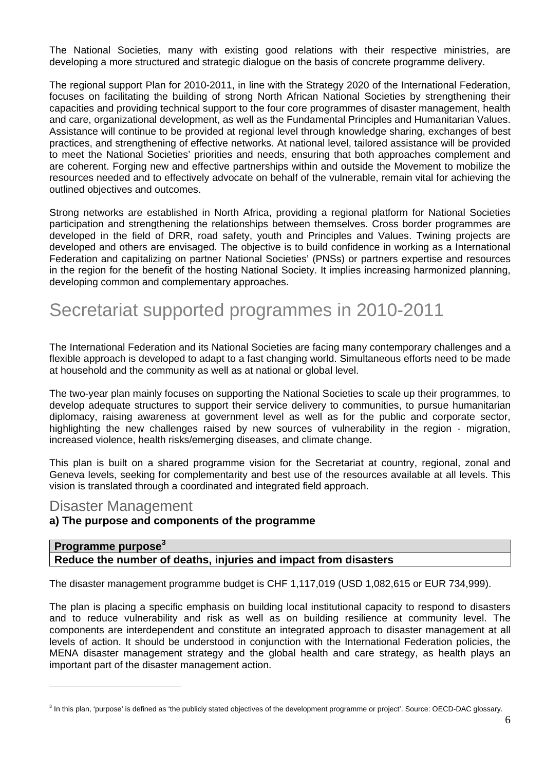The National Societies, many with existing good relations with their respective ministries, are developing a more structured and strategic dialogue on the basis of concrete programme delivery.

The regional support Plan for 2010-2011, in line with the Strategy 2020 of the International Federation, focuses on facilitating the building of strong North African National Societies by strengthening their capacities and providing technical support to the four core programmes of disaster management, health and care, organizational development, as well as the Fundamental Principles and Humanitarian Values. Assistance will continue to be provided at regional level through knowledge sharing, exchanges of best practices, and strengthening of effective networks. At national level, tailored assistance will be provided to meet the National Societies' priorities and needs, ensuring that both approaches complement and are coherent. Forging new and effective partnerships within and outside the Movement to mobilize the resources needed and to effectively advocate on behalf of the vulnerable, remain vital for achieving the outlined objectives and outcomes.

Strong networks are established in North Africa, providing a regional platform for National Societies participation and strengthening the relationships between themselves. Cross border programmes are developed in the field of DRR, road safety, youth and Principles and Values. Twining projects are developed and others are envisaged. The objective is to build confidence in working as a International Federation and capitalizing on partner National Societies' (PNSs) or partners expertise and resources in the region for the benefit of the hosting National Society. It implies increasing harmonized planning, developing common and complementary approaches.

# Secretariat supported programmes in 2010-2011

The International Federation and its National Societies are facing many contemporary challenges and a flexible approach is developed to adapt to a fast changing world. Simultaneous efforts need to be made at household and the community as well as at national or global level.

The two-year plan mainly focuses on supporting the National Societies to scale up their programmes, to develop adequate structures to support their service delivery to communities, to pursue humanitarian diplomacy, raising awareness at government level as well as for the public and corporate sector, highlighting the new challenges raised by new sources of vulnerability in the region - migration, increased violence, health risks/emerging diseases, and climate change.

This plan is built on a shared programme vision for the Secretariat at country, regional, zonal and Geneva levels, seeking for complementarity and best use of the resources available at all levels. This vision is translated through a coordinated and integrated field approach.

## Disaster Management

<u>.</u>

#### **a) The purpose and components of the programme**

#### **Programme purpose<sup>3</sup> Reduce the number of deaths, injuries and impact from disasters**

The disaster management programme budget is CHF 1,117,019 (USD 1,082,615 or EUR 734,999).

The plan is placing a specific emphasis on building local institutional capacity to respond to disasters and to reduce vulnerability and risk as well as on building resilience at community level. The components are interdependent and constitute an integrated approach to disaster management at all levels of action. It should be understood in conjunction with the International Federation policies, the MENA disaster management strategy and the global health and care strategy, as health plays an important part of the disaster management action.

<sup>&</sup>lt;sup>3</sup> In this plan, 'purpose' is defined as 'the publicly stated objectives of the development programme or project'. Source: OECD-DAC glossary.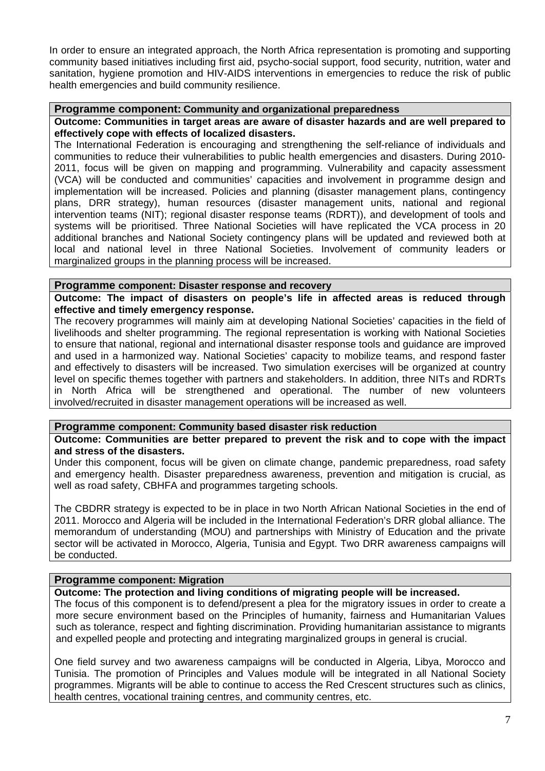In order to ensure an integrated approach, the North Africa representation is promoting and supporting community based initiatives including first aid, psycho-social support, food security, nutrition, water and sanitation, hygiene promotion and HIV-AIDS interventions in emergencies to reduce the risk of public health emergencies and build community resilience.

#### **Programme component: Community and organizational preparedness**

**Outcome: Communities in target areas are aware of disaster hazards and are well prepared to effectively cope with effects of localized disasters.** 

The International Federation is encouraging and strengthening the self-reliance of individuals and communities to reduce their vulnerabilities to public health emergencies and disasters. During 2010- 2011, focus will be given on mapping and programming. Vulnerability and capacity assessment (VCA) will be conducted and communities' capacities and involvement in programme design and implementation will be increased. Policies and planning (disaster management plans, contingency plans, DRR strategy), human resources (disaster management units, national and regional intervention teams (NIT); regional disaster response teams (RDRT)), and development of tools and systems will be prioritised. Three National Societies will have replicated the VCA process in 20 additional branches and National Society contingency plans will be updated and reviewed both at local and national level in three National Societies. Involvement of community leaders or marginalized groups in the planning process will be increased.

#### **Programme component: Disaster response and recovery**

**Outcome: The impact of disasters on people's life in affected areas is reduced through effective and timely emergency response.** 

The recovery programmes will mainly aim at developing National Societies' capacities in the field of livelihoods and shelter programming. The regional representation is working with National Societies to ensure that national, regional and international disaster response tools and guidance are improved and used in a harmonized way. National Societies' capacity to mobilize teams, and respond faster and effectively to disasters will be increased. Two simulation exercises will be organized at country level on specific themes together with partners and stakeholders. In addition, three NITs and RDRTs in North Africa will be strengthened and operational. The number of new volunteers involved/recruited in disaster management operations will be increased as well.

#### **Programme component: Community based disaster risk reduction**

**Outcome: Communities are better prepared to prevent the risk and to cope with the impact and stress of the disasters.** 

Under this component, focus will be given on climate change, pandemic preparedness, road safety and emergency health. Disaster preparedness awareness, prevention and mitigation is crucial, as well as road safety, CBHFA and programmes targeting schools.

The CBDRR strategy is expected to be in place in two North African National Societies in the end of 2011. Morocco and Algeria will be included in the International Federation's DRR global alliance. The memorandum of understanding (MOU) and partnerships with Ministry of Education and the private sector will be activated in Morocco, Algeria, Tunisia and Egypt. Two DRR awareness campaigns will be conducted.

#### **Programme component: Migration**

**Outcome: The protection and living conditions of migrating people will be increased.** 

The focus of this component is to defend/present a plea for the migratory issues in order to create a more secure environment based on the Principles of humanity, fairness and Humanitarian Values such as tolerance, respect and fighting discrimination. Providing humanitarian assistance to migrants and expelled people and protecting and integrating marginalized groups in general is crucial.

One field survey and two awareness campaigns will be conducted in Algeria, Libya, Morocco and Tunisia. The promotion of Principles and Values module will be integrated in all National Society programmes. Migrants will be able to continue to access the Red Crescent structures such as clinics, health centres, vocational training centres, and community centres, etc.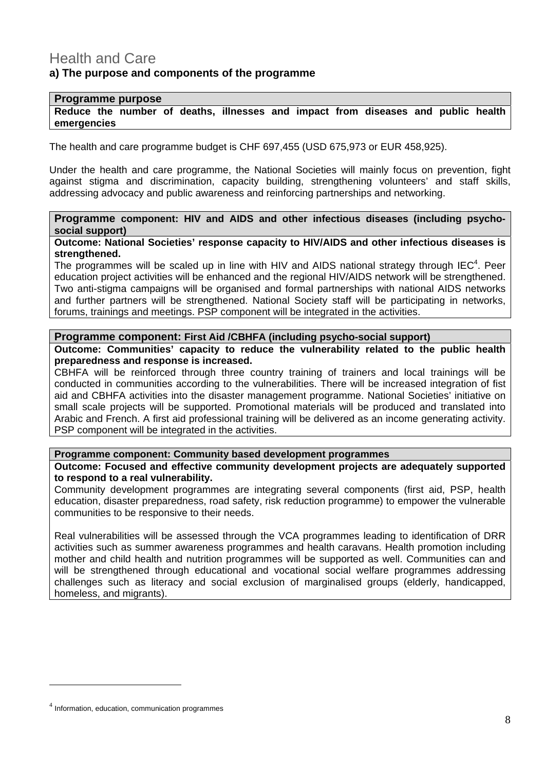## Health and Care **a) The purpose and components of the programme**

#### **Programme purpose**

**Reduce the number of deaths, illnesses and impact from diseases and public health emergencies** 

The health and care programme budget is CHF 697,455 (USD 675,973 or EUR 458,925).

Under the health and care programme, the National Societies will mainly focus on prevention, fight against stigma and discrimination, capacity building, strengthening volunteers' and staff skills, addressing advocacy and public awareness and reinforcing partnerships and networking.

#### **Programme component: HIV and AIDS and other infectious diseases (including psychosocial support)**

**Outcome: National Societies' response capacity to HIV/AIDS and other infectious diseases is strengthened.** 

The programmes will be scaled up in line with HIV and AIDS national strategy through IEC<sup>4</sup>. Peer education project activities will be enhanced and the regional HIV/AIDS network will be strengthened. Two anti-stigma campaigns will be organised and formal partnerships with national AIDS networks and further partners will be strengthened. National Society staff will be participating in networks, forums, trainings and meetings. PSP component will be integrated in the activities.

#### **Programme component: First Aid /CBHFA (including psycho-social support)**

**Outcome: Communities' capacity to reduce the vulnerability related to the public health preparedness and response is increased.** 

CBHFA will be reinforced through three country training of trainers and local trainings will be conducted in communities according to the vulnerabilities. There will be increased integration of fist aid and CBHFA activities into the disaster management programme. National Societies' initiative on small scale projects will be supported. Promotional materials will be produced and translated into Arabic and French. A first aid professional training will be delivered as an income generating activity. PSP component will be integrated in the activities.

#### **Programme component: Community based development programmes**

**Outcome: Focused and effective community development projects are adequately supported to respond to a real vulnerability.** 

Community development programmes are integrating several components (first aid, PSP, health education, disaster preparedness, road safety, risk reduction programme) to empower the vulnerable communities to be responsive to their needs.

Real vulnerabilities will be assessed through the VCA programmes leading to identification of DRR activities such as summer awareness programmes and health caravans. Health promotion including mother and child health and nutrition programmes will be supported as well. Communities can and will be strengthened through educational and vocational social welfare programmes addressing challenges such as literacy and social exclusion of marginalised groups (elderly, handicapped, homeless, and migrants).

1

<sup>&</sup>lt;sup>4</sup> Information, education, communication programmes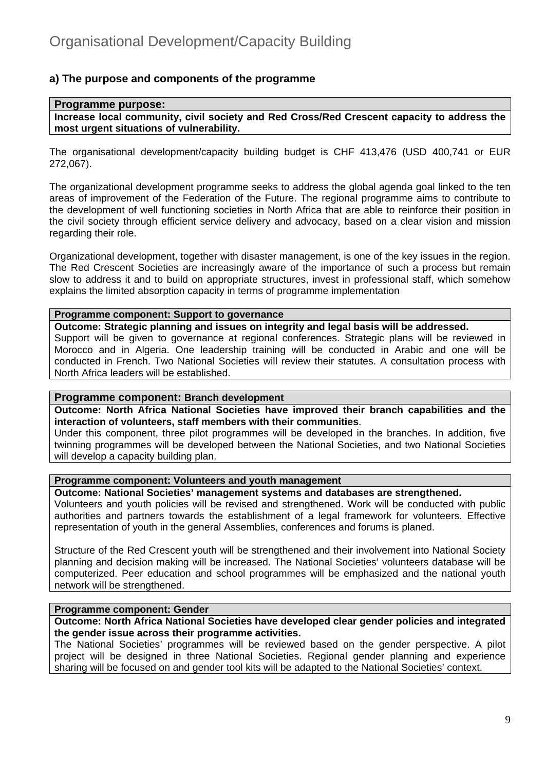#### **a) The purpose and components of the programme**

#### **Programme purpose: Increase local community, civil society and Red Cross/Red Crescent capacity to address the most urgent situations of vulnerability.**

The organisational development/capacity building budget is CHF 413,476 (USD 400,741 or EUR 272,067).

The organizational development programme seeks to address the global agenda goal linked to the ten areas of improvement of the Federation of the Future. The regional programme aims to contribute to the development of well functioning societies in North Africa that are able to reinforce their position in the civil society through efficient service delivery and advocacy, based on a clear vision and mission regarding their role.

Organizational development, together with disaster management, is one of the key issues in the region. The Red Crescent Societies are increasingly aware of the importance of such a process but remain slow to address it and to build on appropriate structures, invest in professional staff, which somehow explains the limited absorption capacity in terms of programme implementation

#### **Programme component: Support to governance**

**Outcome: Strategic planning and issues on integrity and legal basis will be addressed.**

Support will be given to governance at regional conferences. Strategic plans will be reviewed in Morocco and in Algeria. One leadership training will be conducted in Arabic and one will be conducted in French. Two National Societies will review their statutes. A consultation process with North Africa leaders will be established.

#### **Programme component: Branch development**

**Outcome: North Africa National Societies have improved their branch capabilities and the interaction of volunteers, staff members with their communities**.

Under this component, three pilot programmes will be developed in the branches. In addition, five twinning programmes will be developed between the National Societies, and two National Societies will develop a capacity building plan.

#### **Programme component: Volunteers and youth management**

#### **Outcome: National Societies' management systems and databases are strengthened.**

Volunteers and youth policies will be revised and strengthened. Work will be conducted with public authorities and partners towards the establishment of a legal framework for volunteers. Effective representation of youth in the general Assemblies, conferences and forums is planed.

Structure of the Red Crescent youth will be strengthened and their involvement into National Society planning and decision making will be increased. The National Societies' volunteers database will be computerized. Peer education and school programmes will be emphasized and the national youth network will be strengthened.

#### **Programme component: Gender**

**Outcome: North Africa National Societies have developed clear gender policies and integrated the gender issue across their programme activities.** 

The National Societies' programmes will be reviewed based on the gender perspective. A pilot project will be designed in three National Societies. Regional gender planning and experience sharing will be focused on and gender tool kits will be adapted to the National Societies' context.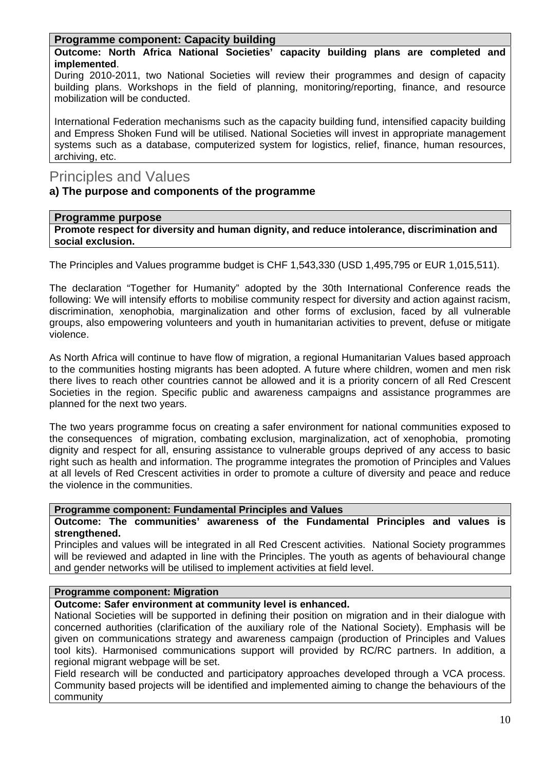#### **Programme component: Capacity building**

**Outcome: North Africa National Societies' capacity building plans are completed and implemented**.

During 2010-2011, two National Societies will review their programmes and design of capacity building plans. Workshops in the field of planning, monitoring/reporting, finance, and resource mobilization will be conducted.

International Federation mechanisms such as the capacity building fund, intensified capacity building and Empress Shoken Fund will be utilised. National Societies will invest in appropriate management systems such as a database, computerized system for logistics, relief, finance, human resources, archiving, etc.

## Principles and Values

#### **a) The purpose and components of the programme**

#### **Programme purpose**

**Promote respect for diversity and human dignity, and reduce intolerance, discrimination and social exclusion.** 

The Principles and Values programme budget is CHF 1,543,330 (USD 1,495,795 or EUR 1,015,511).

The declaration "Together for Humanity" adopted by the 30th International Conference reads the following: We will intensify efforts to mobilise community respect for diversity and action against racism, discrimination, xenophobia, marginalization and other forms of exclusion, faced by all vulnerable groups, also empowering volunteers and youth in humanitarian activities to prevent, defuse or mitigate violence.

As North Africa will continue to have flow of migration, a regional Humanitarian Values based approach to the communities hosting migrants has been adopted. A future where children, women and men risk there lives to reach other countries cannot be allowed and it is a priority concern of all Red Crescent Societies in the region. Specific public and awareness campaigns and assistance programmes are planned for the next two years.

The two years programme focus on creating a safer environment for national communities exposed to the consequences of migration, combating exclusion, marginalization, act of xenophobia, promoting dignity and respect for all, ensuring assistance to vulnerable groups deprived of any access to basic right such as health and information. The programme integrates the promotion of Principles and Values at all levels of Red Crescent activities in order to promote a culture of diversity and peace and reduce the violence in the communities.

#### **Programme component: Fundamental Principles and Values**

**Outcome: The communities' awareness of the Fundamental Principles and values is strengthened.** 

Principles and values will be integrated in all Red Crescent activities. National Society programmes will be reviewed and adapted in line with the Principles. The youth as agents of behavioural change and gender networks will be utilised to implement activities at field level.

#### **Programme component: Migration**

**Outcome: Safer environment at community level is enhanced.** 

National Societies will be supported in defining their position on migration and in their dialogue with concerned authorities (clarification of the auxiliary role of the National Society). Emphasis will be given on communications strategy and awareness campaign (production of Principles and Values tool kits). Harmonised communications support will provided by RC/RC partners. In addition, a regional migrant webpage will be set.

Field research will be conducted and participatory approaches developed through a VCA process. Community based projects will be identified and implemented aiming to change the behaviours of the community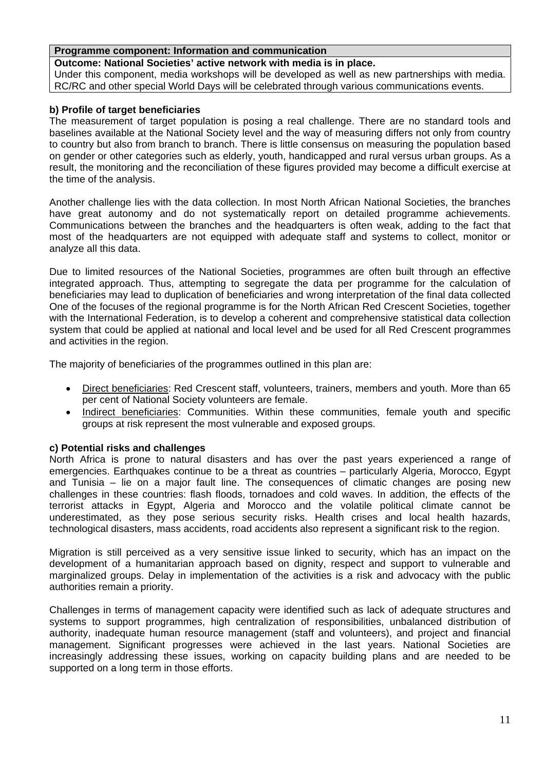#### **Programme component: Information and communication**

**Outcome: National Societies' active network with media is in place.**  Under this component, media workshops will be developed as well as new partnerships with media. RC/RC and other special World Days will be celebrated through various communications events.

#### **b) Profile of target beneficiaries**

The measurement of target population is posing a real challenge. There are no standard tools and baselines available at the National Society level and the way of measuring differs not only from country to country but also from branch to branch. There is little consensus on measuring the population based on gender or other categories such as elderly, youth, handicapped and rural versus urban groups. As a result, the monitoring and the reconciliation of these figures provided may become a difficult exercise at the time of the analysis.

Another challenge lies with the data collection. In most North African National Societies, the branches have great autonomy and do not systematically report on detailed programme achievements. Communications between the branches and the headquarters is often weak, adding to the fact that most of the headquarters are not equipped with adequate staff and systems to collect, monitor or analyze all this data.

Due to limited resources of the National Societies, programmes are often built through an effective integrated approach. Thus, attempting to segregate the data per programme for the calculation of beneficiaries may lead to duplication of beneficiaries and wrong interpretation of the final data collected One of the focuses of the regional programme is for the North African Red Crescent Societies, together with the International Federation, is to develop a coherent and comprehensive statistical data collection system that could be applied at national and local level and be used for all Red Crescent programmes and activities in the region.

The majority of beneficiaries of the programmes outlined in this plan are:

- Direct beneficiaries: Red Crescent staff, volunteers, trainers, members and youth. More than 65 per cent of National Society volunteers are female.
- Indirect beneficiaries: Communities. Within these communities, female youth and specific groups at risk represent the most vulnerable and exposed groups.

#### **c) Potential risks and challenges**

North Africa is prone to natural disasters and has over the past years experienced a range of emergencies. Earthquakes continue to be a threat as countries – particularly Algeria, Morocco, Egypt and Tunisia – lie on a major fault line. The consequences of climatic changes are posing new challenges in these countries: flash floods, tornadoes and cold waves. In addition, the effects of the terrorist attacks in Egypt, Algeria and Morocco and the volatile political climate cannot be underestimated, as they pose serious security risks. Health crises and local health hazards, technological disasters, mass accidents, road accidents also represent a significant risk to the region.

Migration is still perceived as a very sensitive issue linked to security, which has an impact on the development of a humanitarian approach based on dignity, respect and support to vulnerable and marginalized groups. Delay in implementation of the activities is a risk and advocacy with the public authorities remain a priority.

Challenges in terms of management capacity were identified such as lack of adequate structures and systems to support programmes, high centralization of responsibilities, unbalanced distribution of authority, inadequate human resource management (staff and volunteers), and project and financial management. Significant progresses were achieved in the last years. National Societies are increasingly addressing these issues, working on capacity building plans and are needed to be supported on a long term in those efforts.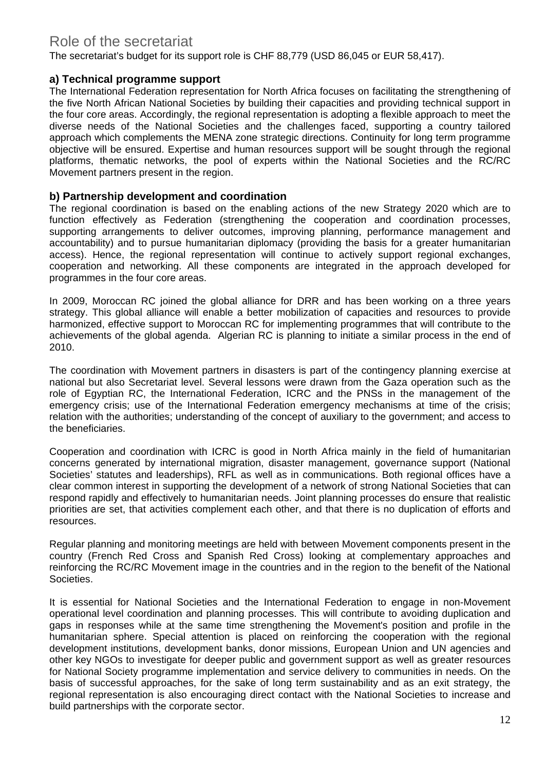## Role of the secretariat

The secretariat's budget for its support role is CHF 88,779 (USD 86,045 or EUR 58,417).

#### **a) Technical programme support**

The International Federation representation for North Africa focuses on facilitating the strengthening of the five North African National Societies by building their capacities and providing technical support in the four core areas. Accordingly, the regional representation is adopting a flexible approach to meet the diverse needs of the National Societies and the challenges faced, supporting a country tailored approach which complements the MENA zone strategic directions. Continuity for long term programme objective will be ensured. Expertise and human resources support will be sought through the regional platforms, thematic networks, the pool of experts within the National Societies and the RC/RC Movement partners present in the region.

#### **b) Partnership development and coordination**

The regional coordination is based on the enabling actions of the new Strategy 2020 which are to function effectively as Federation (strengthening the cooperation and coordination processes, supporting arrangements to deliver outcomes, improving planning, performance management and accountability) and to pursue humanitarian diplomacy (providing the basis for a greater humanitarian access). Hence, the regional representation will continue to actively support regional exchanges, cooperation and networking. All these components are integrated in the approach developed for programmes in the four core areas.

In 2009, Moroccan RC joined the global alliance for DRR and has been working on a three years strategy. This global alliance will enable a better mobilization of capacities and resources to provide harmonized, effective support to Moroccan RC for implementing programmes that will contribute to the achievements of the global agenda. Algerian RC is planning to initiate a similar process in the end of 2010.

The coordination with Movement partners in disasters is part of the contingency planning exercise at national but also Secretariat level. Several lessons were drawn from the Gaza operation such as the role of Egyptian RC, the International Federation, ICRC and the PNSs in the management of the emergency crisis; use of the International Federation emergency mechanisms at time of the crisis; relation with the authorities; understanding of the concept of auxiliary to the government; and access to the beneficiaries.

Cooperation and coordination with ICRC is good in North Africa mainly in the field of humanitarian concerns generated by international migration, disaster management, governance support (National Societies' statutes and leaderships), RFL as well as in communications. Both regional offices have a clear common interest in supporting the development of a network of strong National Societies that can respond rapidly and effectively to humanitarian needs. Joint planning processes do ensure that realistic priorities are set, that activities complement each other, and that there is no duplication of efforts and resources.

Regular planning and monitoring meetings are held with between Movement components present in the country (French Red Cross and Spanish Red Cross) looking at complementary approaches and reinforcing the RC/RC Movement image in the countries and in the region to the benefit of the National Societies.

It is essential for National Societies and the International Federation to engage in non-Movement operational level coordination and planning processes. This will contribute to avoiding duplication and gaps in responses while at the same time strengthening the Movement's position and profile in the humanitarian sphere. Special attention is placed on reinforcing the cooperation with the regional development institutions, development banks, donor missions, European Union and UN agencies and other key NGOs to investigate for deeper public and government support as well as greater resources for National Society programme implementation and service delivery to communities in needs. On the basis of successful approaches, for the sake of long term sustainability and as an exit strategy, the regional representation is also encouraging direct contact with the National Societies to increase and build partnerships with the corporate sector.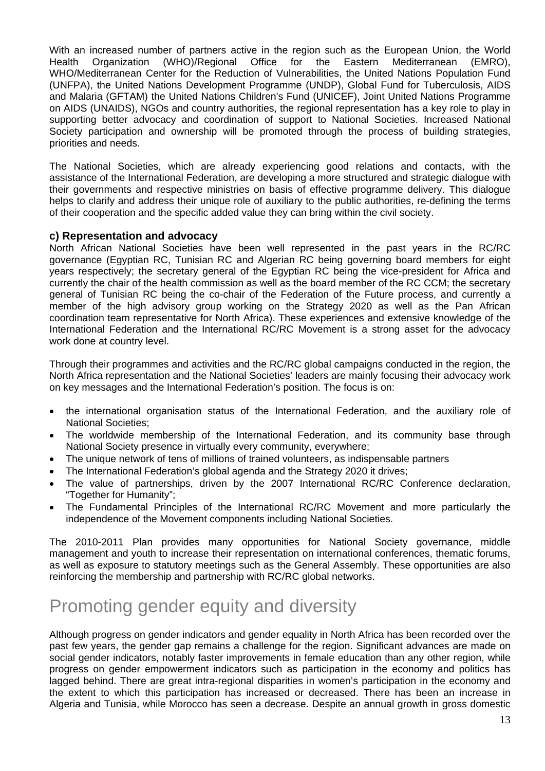With an increased number of partners active in the region such as the European Union, the World Health Organization (WHO)/Regional Office for the Eastern Mediterranean (EMRO), WHO/Mediterranean Center for the Reduction of Vulnerabilities, the United Nations Population Fund (UNFPA), the United Nations Development Programme (UNDP), Global Fund for Tuberculosis, AIDS and Malaria (GFTAM) the United Nations Children's Fund (UNICEF), Joint United Nations Programme on AIDS (UNAIDS), NGOs and country authorities, the regional representation has a key role to play in supporting better advocacy and coordination of support to National Societies. Increased National Society participation and ownership will be promoted through the process of building strategies, priorities and needs.

The National Societies, which are already experiencing good relations and contacts, with the assistance of the International Federation, are developing a more structured and strategic dialogue with their governments and respective ministries on basis of effective programme delivery. This dialogue helps to clarify and address their unique role of auxiliary to the public authorities, re-defining the terms of their cooperation and the specific added value they can bring within the civil society.

#### **c) Representation and advocacy**

North African National Societies have been well represented in the past years in the RC/RC governance (Egyptian RC, Tunisian RC and Algerian RC being governing board members for eight years respectively; the secretary general of the Egyptian RC being the vice-president for Africa and currently the chair of the health commission as well as the board member of the RC CCM; the secretary general of Tunisian RC being the co-chair of the Federation of the Future process, and currently a member of the high advisory group working on the Strategy 2020 as well as the Pan African coordination team representative for North Africa). These experiences and extensive knowledge of the International Federation and the International RC/RC Movement is a strong asset for the advocacy work done at country level.

Through their programmes and activities and the RC/RC global campaigns conducted in the region, the North Africa representation and the National Societies' leaders are mainly focusing their advocacy work on key messages and the International Federation's position. The focus is on:

- the international organisation status of the International Federation, and the auxiliary role of National Societies;
- The worldwide membership of the International Federation, and its community base through National Society presence in virtually every community, everywhere;
- The unique network of tens of millions of trained volunteers, as indispensable partners
- The International Federation's global agenda and the Strategy 2020 it drives;
- The value of partnerships, driven by the 2007 International RC/RC Conference declaration, "Together for Humanity";
- The Fundamental Principles of the International RC/RC Movement and more particularly the independence of the Movement components including National Societies.

The 2010-2011 Plan provides many opportunities for National Society governance, middle management and youth to increase their representation on international conferences, thematic forums, as well as exposure to statutory meetings such as the General Assembly. These opportunities are also reinforcing the membership and partnership with RC/RC global networks.

# Promoting gender equity and diversity

Although progress on gender indicators and gender equality in North Africa has been recorded over the past few years, the gender gap remains a challenge for the region. Significant advances are made on social gender indicators, notably faster improvements in female education than any other region, while progress on gender empowerment indicators such as participation in the economy and politics has lagged behind. There are great intra-regional disparities in women's participation in the economy and the extent to which this participation has increased or decreased. There has been an increase in Algeria and Tunisia, while Morocco has seen a decrease. Despite an annual growth in gross domestic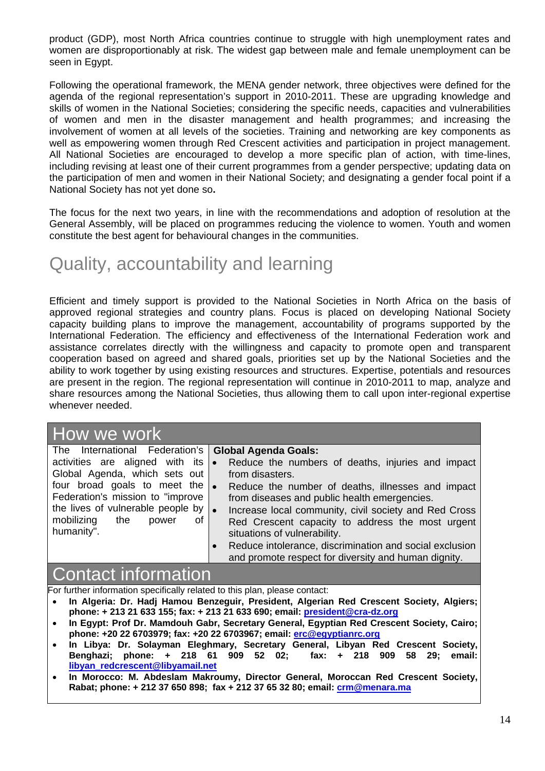product (GDP), most North Africa countries continue to struggle with high unemployment rates and women are disproportionably at risk. The widest gap between male and female unemployment can be seen in Egypt.

Following the operational framework, the MENA gender network, three objectives were defined for the agenda of the regional representation's support in 2010-2011. These are upgrading knowledge and skills of women in the National Societies; considering the specific needs, capacities and vulnerabilities of women and men in the disaster management and health programmes; and increasing the involvement of women at all levels of the societies. Training and networking are key components as well as empowering women through Red Crescent activities and participation in project management. All National Societies are encouraged to develop a more specific plan of action, with time-lines, including revising at least one of their current programmes from a gender perspective; updating data on the participation of men and women in their National Society; and designating a gender focal point if a National Society has not yet done so**.** 

The focus for the next two years, in line with the recommendations and adoption of resolution at the General Assembly, will be placed on programmes reducing the violence to women. Youth and women constitute the best agent for behavioural changes in the communities.

# Quality, accountability and learning

Efficient and timely support is provided to the National Societies in North Africa on the basis of approved regional strategies and country plans. Focus is placed on developing National Society capacity building plans to improve the management, accountability of programs supported by the International Federation. The efficiency and effectiveness of the International Federation work and assistance correlates directly with the willingness and capacity to promote open and transparent cooperation based on agreed and shared goals, priorities set up by the National Societies and the ability to work together by using existing resources and structures. Expertise, potentials and resources are present in the region. The regional representation will continue in 2010-2011 to map, analyze and share resources among the National Societies, thus allowing them to call upon inter-regional expertise whenever needed.

## How we work

| The International Federation's   Global Agenda Goals: |                                                                    |
|-------------------------------------------------------|--------------------------------------------------------------------|
| activities are aligned with its $\bullet$             | Reduce the numbers of deaths, injuries and impact                  |
| Global Agenda, which sets out                         | from disasters.                                                    |
| four broad goals to meet the $\bullet$                | Reduce the number of deaths, illnesses and impact                  |
| Federation's mission to "improve                      | from diseases and public health emergencies.                       |
| the lives of vulnerable people by                     | Increase local community, civil society and Red Cross<br>$\bullet$ |
| mobilizing the<br>of<br>power                         | Red Crescent capacity to address the most urgent                   |
| humanity".                                            | situations of vulnerability.                                       |
|                                                       | Reduce intolerance, discrimination and social exclusion            |

## Contact information

For further information specifically related to this plan, please contact:

• **In Algeria: Dr. Hadj Hamou Benzeguir, President, Algerian Red Crescent Society, Algiers; phone: + 213 21 633 155; fax: + 213 21 633 690; email: president@cra-dz.org**

and promote respect for diversity and human dignity.

- **In Egypt: Prof Dr. Mamdouh Gabr, Secretary General, Egyptian Red Crescent Society, Cairo; phone: +20 22 6703979; fax: +20 22 6703967; email: erc@egyptianrc.org**
- **In Libya: Dr. Solayman Eleghmary, Secretary General, Libyan Red Crescent Society, Benghazi; phone: + 218 61 909 52 02; fax: + 218 909 58 29; email: libyan\_redcrescent@libyamail.net**
- **In Morocco: M. Abdeslam Makroumy, Director General, Moroccan Red Crescent Society, Rabat; phone: + 212 37 650 898; fax + 212 37 65 32 80; email: crm@menara.ma**